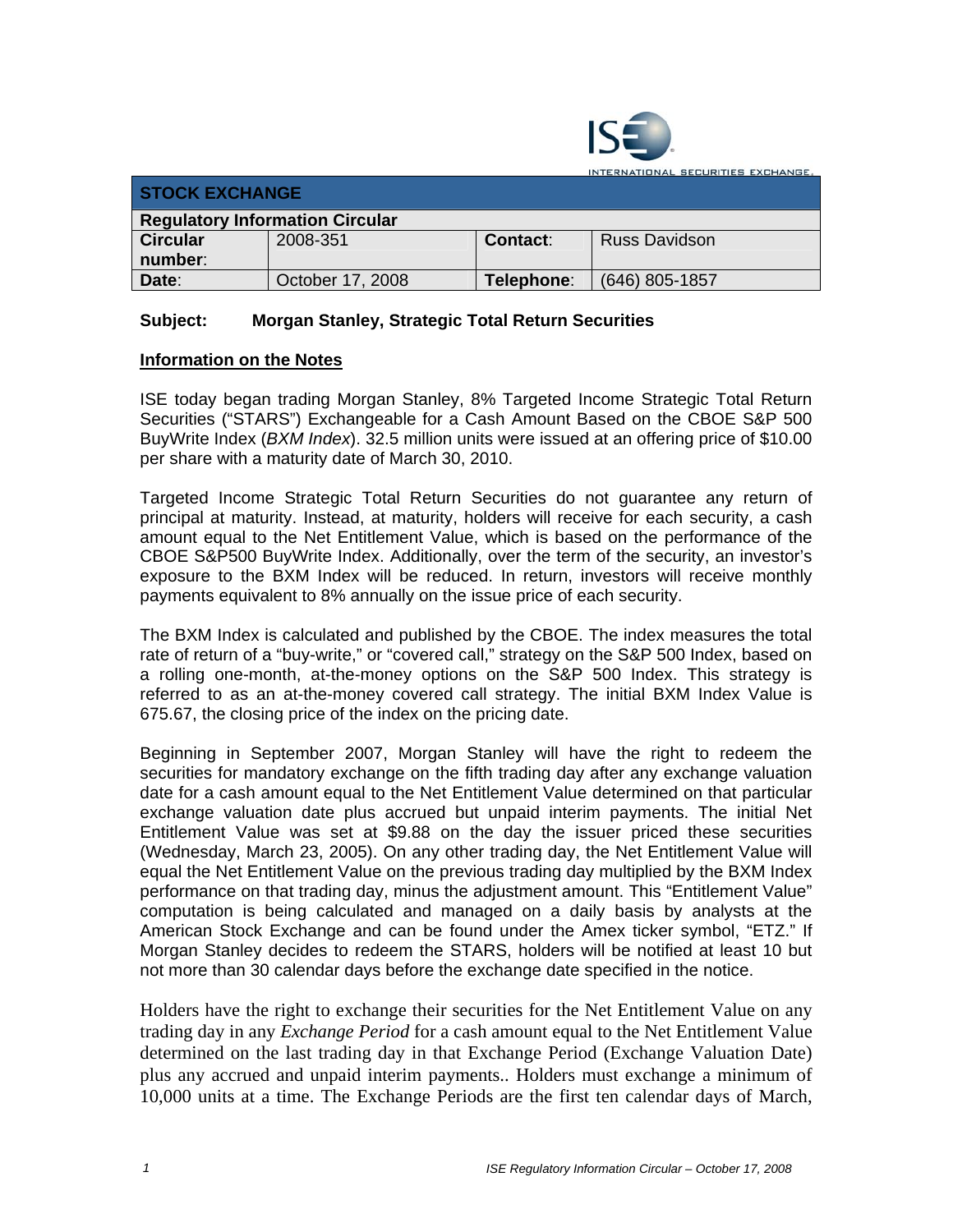

INTERNATIONAL SECURITIES EXCHANGE

| <b>STOCK EXCHANGE</b>                  |                  |            |                      |  |  |
|----------------------------------------|------------------|------------|----------------------|--|--|
| <b>Regulatory Information Circular</b> |                  |            |                      |  |  |
| <b>Circular</b>                        | 2008-351         | Contact:   | <b>Russ Davidson</b> |  |  |
| number:                                |                  |            |                      |  |  |
| Date:                                  | October 17, 2008 | Telephone: | (646) 805-1857       |  |  |

## **Subject: Morgan Stanley, Strategic Total Return Securities**

## **Information on the Notes**

ISE today began trading Morgan Stanley, 8% Targeted Income Strategic Total Return Securities ("STARS") Exchangeable for a Cash Amount Based on the CBOE S&P 500 BuyWrite Index (*BXM Index*). 32.5 million units were issued at an offering price of \$10.00 per share with a maturity date of March 30, 2010.

Targeted Income Strategic Total Return Securities do not guarantee any return of principal at maturity. Instead, at maturity, holders will receive for each security, a cash amount equal to the Net Entitlement Value, which is based on the performance of the CBOE S&P500 BuyWrite Index. Additionally, over the term of the security, an investor's exposure to the BXM Index will be reduced. In return, investors will receive monthly payments equivalent to 8% annually on the issue price of each security.

The BXM Index is calculated and published by the CBOE. The index measures the total rate of return of a "buy-write," or "covered call," strategy on the S&P 500 Index, based on a rolling one-month, at-the-money options on the S&P 500 Index. This strategy is referred to as an at-the-money covered call strategy. The initial BXM Index Value is 675.67, the closing price of the index on the pricing date.

Beginning in September 2007, Morgan Stanley will have the right to redeem the securities for mandatory exchange on the fifth trading day after any exchange valuation date for a cash amount equal to the Net Entitlement Value determined on that particular exchange valuation date plus accrued but unpaid interim payments. The initial Net Entitlement Value was set at \$9.88 on the day the issuer priced these securities (Wednesday, March 23, 2005). On any other trading day, the Net Entitlement Value will equal the Net Entitlement Value on the previous trading day multiplied by the BXM Index performance on that trading day, minus the adjustment amount. This "Entitlement Value" computation is being calculated and managed on a daily basis by analysts at the American Stock Exchange and can be found under the Amex ticker symbol, "ETZ." If Morgan Stanley decides to redeem the STARS, holders will be notified at least 10 but not more than 30 calendar days before the exchange date specified in the notice.

Holders have the right to exchange their securities for the Net Entitlement Value on any trading day in any *Exchange Period* for a cash amount equal to the Net Entitlement Value determined on the last trading day in that Exchange Period (Exchange Valuation Date) plus any accrued and unpaid interim payments.. Holders must exchange a minimum of 10,000 units at a time. The Exchange Periods are the first ten calendar days of March,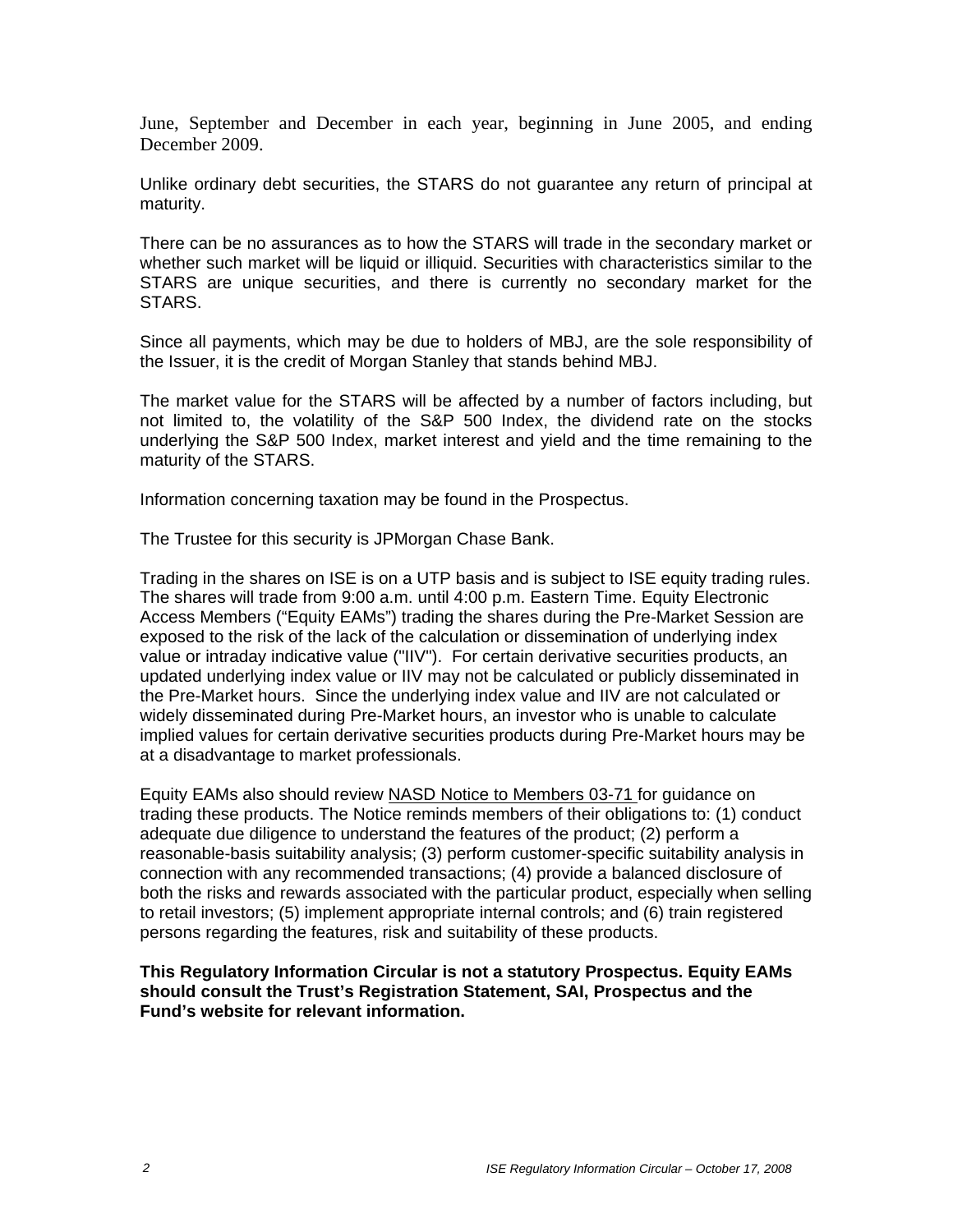June, September and December in each year, beginning in June 2005, and ending December 2009.

Unlike ordinary debt securities, the STARS do not guarantee any return of principal at maturity.

There can be no assurances as to how the STARS will trade in the secondary market or whether such market will be liquid or illiquid. Securities with characteristics similar to the STARS are unique securities, and there is currently no secondary market for the STARS.

Since all payments, which may be due to holders of MBJ, are the sole responsibility of the Issuer, it is the credit of Morgan Stanley that stands behind MBJ.

The market value for the STARS will be affected by a number of factors including, but not limited to, the volatility of the S&P 500 Index, the dividend rate on the stocks underlying the S&P 500 Index, market interest and yield and the time remaining to the maturity of the STARS.

Information concerning taxation may be found in the Prospectus.

The Trustee for this security is JPMorgan Chase Bank.

Trading in the shares on ISE is on a UTP basis and is subject to ISE equity trading rules. The shares will trade from 9:00 a.m. until 4:00 p.m. Eastern Time. Equity Electronic Access Members ("Equity EAMs") trading the shares during the Pre-Market Session are exposed to the risk of the lack of the calculation or dissemination of underlying index value or intraday indicative value ("IIV"). For certain derivative securities products, an updated underlying index value or IIV may not be calculated or publicly disseminated in the Pre-Market hours. Since the underlying index value and IIV are not calculated or widely disseminated during Pre-Market hours, an investor who is unable to calculate implied values for certain derivative securities products during Pre-Market hours may be at a disadvantage to market professionals.

Equity EAMs also should review NASD Notice to Members 03-71 for guidance on trading these products. The Notice reminds members of their obligations to: (1) conduct adequate due diligence to understand the features of the product; (2) perform a reasonable-basis suitability analysis; (3) perform customer-specific suitability analysis in connection with any recommended transactions; (4) provide a balanced disclosure of both the risks and rewards associated with the particular product, especially when selling to retail investors; (5) implement appropriate internal controls; and (6) train registered persons regarding the features, risk and suitability of these products.

**This Regulatory Information Circular is not a statutory Prospectus. Equity EAMs should consult the Trust's Registration Statement, SAI, Prospectus and the Fund's website for relevant information.**